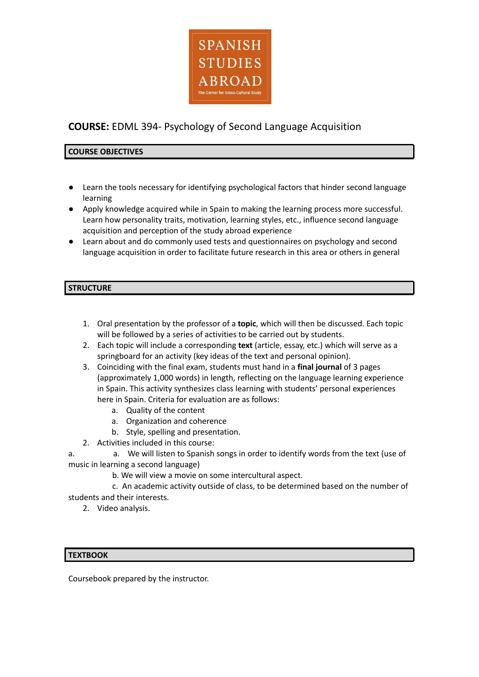

# **COURSE:** EDML 394- Psychology of Second Language Acquisition

## **COURSE OBJECTIVES**

- Learn the tools necessary for identifying psychological factors that hinder second language learning
- Apply knowledge acquired while in Spain to making the learning process more successful. Learn how personality traits, motivation, learning styles, etc., influence second language acquisition and perception of the study abroad experience
- Learn about and do commonly used tests and questionnaires on psychology and second language acquisition in order to facilitate future research in this area or others in general

## **STRUCTURE**

- 1. Oral presentation by the professor of a **topic**, which will then be discussed. Each topic will be followed by a series of activities to be carried out by students.
- 2. Each topic will include a corresponding **text** (article, essay, etc.) which will serve as a springboard for an activity (key ideas of the text and personal opinion).
- 3. Coinciding with the final exam, students must hand in a **final journal** of 3 pages (approximately 1,000 words) in length, reflecting on the language learning experience in Spain. This activity synthesizes class learning with students' personal experiences here in Spain. Criteria for evaluation are as follows:
	- a. Quality of the content
	- a. Organization and coherence
	- b. Style, spelling and presentation.
- 2. Activities included in this course:

a. a. We will listen to Spanish songs in order to identify words from the text (use of music in learning a second language)

b. We will view a movie on some intercultural aspect.

c. An academic activity outside of class, to be determined based on the number of students and their interests.

2. Video analysis.

#### **TEXTBOOK**

Coursebook prepared by the instructor.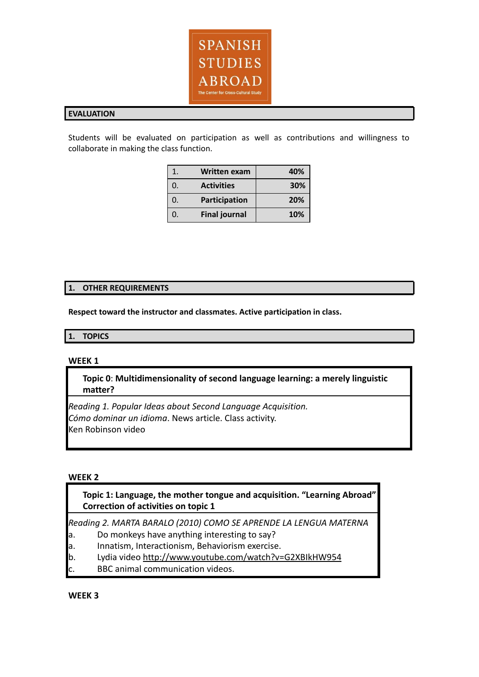

#### **EVALUATION**

Students will be evaluated on participation as well as contributions and willingness to collaborate in making the class function.

|    | <b>Written exam</b>  | 40%        |
|----|----------------------|------------|
| 0. | <b>Activities</b>    | 30%        |
| 0. | Participation        | 20%        |
| 0. | <b>Final journal</b> | <b>10%</b> |

### **1. OTHER REQUIREMENTS**

**Respect toward the instructor and classmates. Active participation in class.**

#### **1. TOPICS**

#### **WEEK 1**

## **Topic 0**: **Multidimensionality of second language learning: a merely linguistic matter?**

*Reading 1. Popular Ideas about Second Language Acquisition. Cómo dominar un idioma*. News article. Class activity. Ken Robinson video

#### **WEEK 2**

**Topic 1: Language, the mother tongue and acquisition. "Learning Abroad" Correction of activities on topic 1**

*Reading 2. MARTA BARALO (2010) COMO SE APRENDE LA LENGUA MATERNA*

- a. Do monkeys have anything interesting to say?
- a. Innatism, Interactionism, Behaviorism exercise.
- b. Lydia video <http://www.youtube.com/watch?v=G2XBIkHW954>
- c. BBC animal communication videos.

**WEEK 3**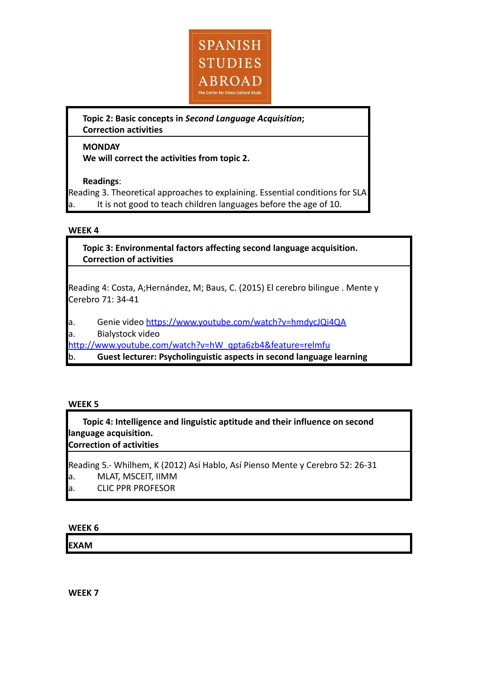

**Topic 2: Basic concepts in** *Second Language Acquisition***; Correction activities**

## **MONDAY**

**We will correct the activities from topic 2.**

## **Readings**:

Reading 3. Theoretical approaches to explaining. Essential conditions for SLA It is not good to teach children languages before the age of 10.

## **WEEK 4**

**Topic 3: Environmental factors affecting second language acquisition. Correction of activities**

Reading 4: Costa, A;Hernández, M; Baus, C. (2015) El cerebro bilingue . Mente y Cerebro 71: 34-41

a. Genie video <https://www.youtube.com/watch?v=hmdycJQi4QA>

a. Bialystock video

[http://www.youtube.com/watch?v=hW\\_qpta6zb4&feature=relmfu](http://www.youtube.com/watch?v=hW_qpta6zb4&feature=relmfu)

b. **Guest lecturer: Psycholinguistic aspects in second language learning**

## **WEEK 5**

**Topic 4: Intelligence and linguistic aptitude and their influence on second language acquisition. Correction of activities**

Reading 5.- Whilhem, K (2012) Así Hablo, Así Pienso Mente y Cerebro 52: 26-31

- a. MLAT, MSCEIT, IIMM
- a. CLIC PPR PROFESOR

## **WEEK 6**

**EXAM**

**WEEK 7**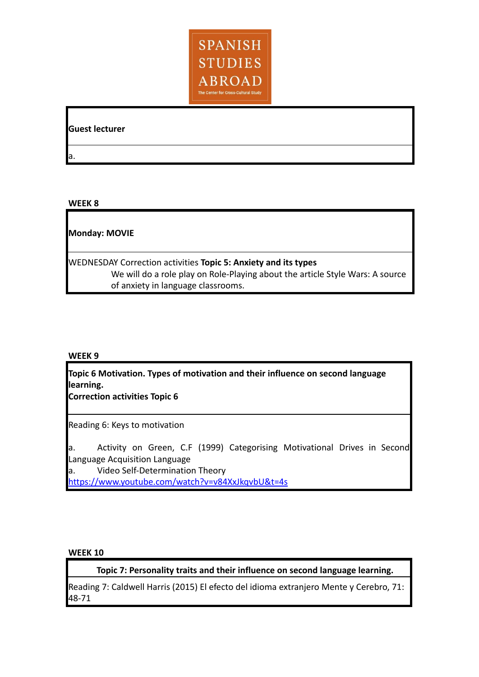

**Guest lecturer**

a.

## **WEEK 8**

**Monday: MOVIE**

WEDNESDAY Correction activities **Topic 5: Anxiety and its types** We will do a role play on Role-Playing about the article Style Wars: A source of anxiety in language classrooms.

### **WEEK 9**

**Topic 6 Motivation. Types of motivation and their influence on second language learning.**

**Correction activities Topic 6**

Reading 6: Keys to motivation

a. Activity on Green, C.F (1999) Categorising Motivational Drives in Second Language Acquisition Language

a. Video Self-Determination Theory <https://www.youtube.com/watch?v=v84XxJkqvbU&t=4s>

### **WEEK 10**

**Topic 7: Personality traits and their influence on second language learning.**

Reading 7: Caldwell Harris (2015) El efecto del idioma extranjero Mente y Cerebro, 71: 48-71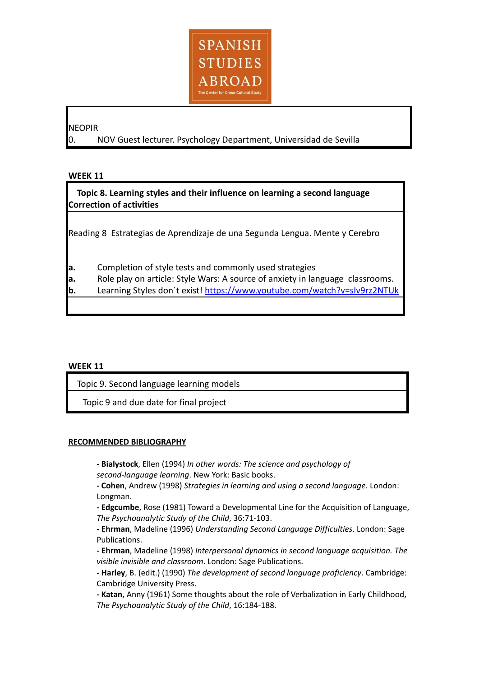

### NEOPIR

0. NOV Guest lecturer. Psychology Department, Universidad de Sevilla

### **WEEK 11**

 **Topic 8. Learning styles and their influence on learning a second language Correction of activities**

Reading 8 Estrategias de Aprendizaje de una Segunda Lengua. Mente y Cerebro

- **a.** Completion of style tests and commonly used strategies
- **a.** Role play on article: Style Wars: A source of anxiety in language classrooms.
- **b.** Learning Styles don´t exist! <https://www.youtube.com/watch?v=sIv9rz2NTUk>

#### **WEEK 11**

Topic 9. Second language learning models

Topic 9 and due date for final project

### **RECOMMENDED BIBLIOGRAPHY**

**- Bialystock**, Ellen (1994) *In other words: The science and psychology of second-language learning*. New York: Basic books.

**- Cohen**, Andrew (1998) *Strategies in learning and using a second language*. London: Longman.

**- Edgcumbe**, Rose (1981) Toward a Developmental Line for the Acquisition of Language, *The Psychoanalytic Study of the Child*, 36:71-103.

**- Ehrman**, Madeline (1996) *Understanding Second Language Difficulties*. London: Sage Publications.

**- Ehrman**, Madeline (1998) *Interpersonal dynamics in second language acquisition. The visible invisible and classroom*. London: Sage Publications.

**- Harley**, B. (edit.) (1990) *The development of second language proficiency*. Cambridge: Cambridge University Press.

**- Katan**, Anny (1961) Some thoughts about the role of Verbalization in Early Childhood, *The Psychoanalytic Study of the Child*, 16:184-188.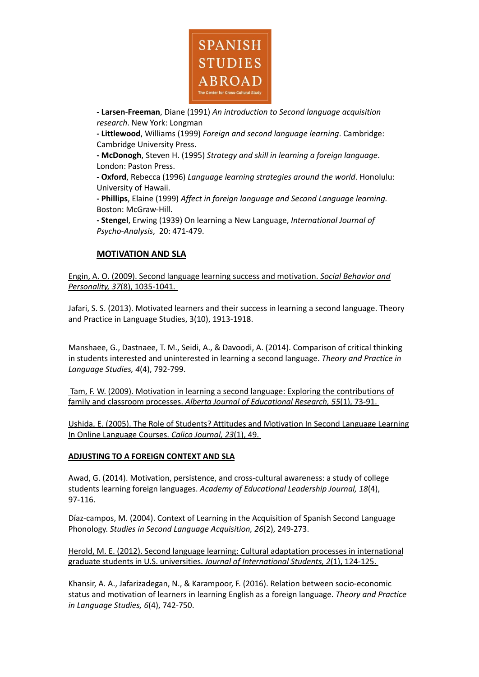

**- Larsen**-**Freeman**, Diane (1991) *An introduction to Second language acquisition research*. New York: Longman

**- Littlewood**, Williams (1999) *Foreign and second language learning*. Cambridge: Cambridge University Press.

**- McDonogh**, Steven H. (1995) *Strategy and skill in learning a foreign language*. London: Paston Press.

**- Oxford**, Rebecca (1996) *Language learning strategies around the world*. Honolulu: University of Hawaii.

**- Phillips**, Elaine (1999) *Affect in foreign language and Second Language learning.* Boston: McGraw-Hill.

**- Stengel**, Erwing (1939) On learning a New Language, *International Journal of Psycho-Analysis*, 20: 471-479.

## **[MOTIVATION](http://jerome.stjohns.edu:81/login?url=http://search.proquest.com/docview/216979275?accountid=14068) AND SLA**

Engin, A. O. (2009). Second language learning success and [motivation.](http://jerome.stjohns.edu:81/login?url=http://search.proquest.com/docview/228626222?accountid=14068) *Social Behavior and [Personality,](http://jerome.stjohns.edu:81/login?url=http://search.proquest.com/docview/228626222?accountid=14068) 37*(8), 1035-1041.

Jafari, S. S. (2013). Motivated learners and their success in learning a second language. Theory and Practice in Language Studies, 3(10), 1913-1918.

Manshaee, G., Dastnaee, T. M., Seidi, A., & Davoodi, A. (2014). Comparison of critical thinking in students interested and uninterested in learning a second language. *Theory and Practice in Language Studies, 4*(4), 792-799.

[T](http://jerome.stjohns.edu:81/login?url=http://search.proquest.com/docview/216979275?accountid=14068)am, F. W. (2009). Motivation in learning a second language: Exploring the [contributions](http://jerome.stjohns.edu:81/login?url=http://search.proquest.com/docview/1471343731?accountid=14068) of family and classroom processes. *Alberta Journal of [Educational](http://jerome.stjohns.edu:81/login?url=http://search.proquest.com/docview/1471343731?accountid=14068) Research, 55*(1), 73-91.

Ushida, E. (2005). The Role of Students? Attitudes and [Motivation](http://dx.doi.org/10.2224/sbp.2009.37.8.1035) In Second Language Learning In Online [Language](http://dx.doi.org/10.2224/sbp.2009.37.8.1035) Courses. *Calico Journal, 23*(1), 49.

#### **[ADJUSTING](http://jerome.stjohns.edu:81/login?url=http://search.proquest.com/docview/750581068?accountid=14068) TO A FOREIGN CONTEXT AND SLA**

Awad, G. (2014). Motivation, persistence, and cross-cultural awareness: a study of college students learning foreign languages. *Academy of Educational Leadership Journal, 18*(4), 97-116.

Díaz-campos, M. (2004). Context of Learning in the Acquisition of Spanish Second Language Phonology. *Studies in Second Language Acquisition, 26*(2), 249-273.

Herold, M. E. (2012). Second language learning: Cultural adaptation processes in [international](http://jerome.stjohns.edu:81/login?url=http://search.proquest.com/docview/750581068?accountid=14068) graduate students in U.S. universities. *Journal of [International](http://jerome.stjohns.edu:81/login?url=http://search.proquest.com/docview/750581068?accountid=14068) Students, 2*(1), 124-125.

Khansir, A. A., Jafarizadegan, N., & Karampoor, F. (2016). Relation between socio-economic status and motivation of learners in learning English as a foreign language. *Theory and Practice in Language Studies, 6*(4), 742-750.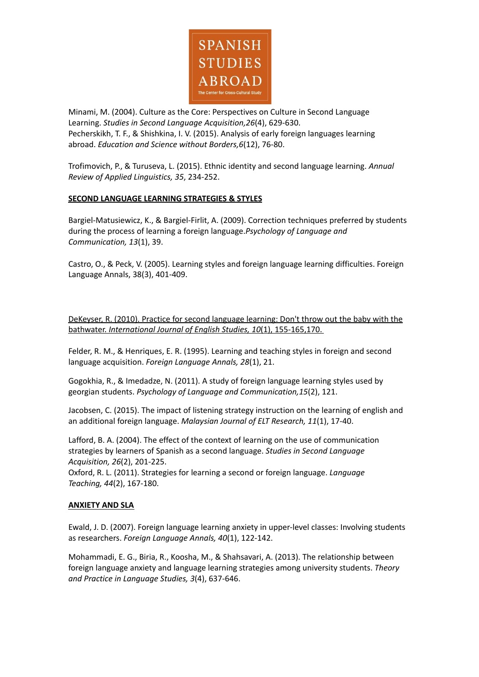

Minami, M. (2004). Culture as the Core: Perspectives on Culture in Second Language Learning. *Studies in Second Language Acquisition,26*(4), 629-630. Pecherskikh, T. F., & Shishkina, I. V. (2015). Analysis of early foreign languages learning abroad. *Education and Science without Borders,6*(12), 76-80.

Trofimovich, P., & Turuseva, L. (2015). Ethnic identity and second language learning. *Annual Review of Applied Linguistics, 35*, 234-252.

#### **SECOND LANGUAGE LEARNING [STRATEGIES](http://jerome.stjohns.edu:81/login?url=http://search.proquest.com/docview/1355247320?accountid=14068) & STYLES**

Bargiel-Matusiewicz, K., & Bargiel-Firlit, A. (2009). Correction techniques preferred by students during the process of learning a foreign language.*Psychology of Language and Communication, 13*(1), 39.

Castro, O., & Peck, V. (2005). Learning styles and foreign language learning difficulties. Foreign Language Annals, 38(3), 401-409.

[DeKeyser,](http://jerome.stjohns.edu:81/login?url=http://search.proquest.com/docview/1355247320?accountid=14068) R. (2010). Practice for second language learning: Don't throw out the baby with the bathwater. *International Journal of English Studies, 10*(1), [155-165,170.](http://jerome.stjohns.edu:81/login?url=http://search.proquest.com/docview/1355247320?accountid=14068)

Felder, R. M., & Henriques, E. R. (1995). Learning and teaching styles in foreign and second language acquisition. *Foreign Language Annals, 28*(1), 21.

Gogokhia, R., & Imedadze, N. (2011). A study of foreign language learning styles used by georgian students. *Psychology of Language and Communication,15*(2), 121.

Jacobsen, C. (2015). The impact of listening strategy instruction on the learning of english and an additional foreign language. *Malaysian Journal of ELT Research, 11*(1), 17-40.

Lafford, B. A. (2004). The effect of the context of learning on the use of communication strategies by learners of Spanish as a second language. *Studies in Second Language Acquisition, 26*(2), 201-225.

Oxford, R. L. (2011). Strategies for learning a second or foreign language. *Language Teaching, 44*(2), 167-180.

#### **[ANXIETY](http://jerome.stjohns.edu:81/login?url=http://search.proquest.com/docview/837192710?accountid=14068) AND SLA**

Ewald, J. D. (2007). Foreign language learning anxiety in upper-level classes: Involving students as researchers. *Foreign Language Annals, 40*(1), 122-142.

Mohammadi, E. G., Biria, R., Koosha, M., & Shahsavari, A. (2013). The relationship between foreign language anxiety and language learning strategies among university students. *Theory and Practice in Language Studies, 3*(4), 637-646.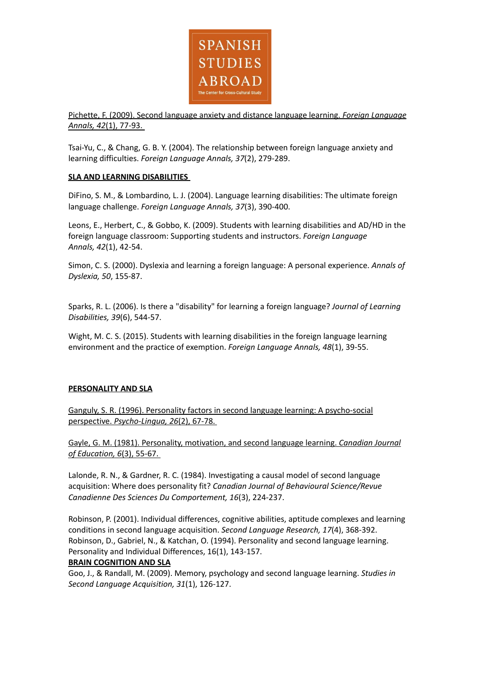

Pichette, F. (2009). Second language anxiety and distance language learning. *Foreign [Language](http://jerome.stjohns.edu:81/login?url=http://search.proquest.com/docview/837192710?accountid=14068) [Annals,](http://jerome.stjohns.edu:81/login?url=http://search.proquest.com/docview/837192710?accountid=14068) 42*(1), 77-93.

Tsai-Yu, C., & Chang, G. B. Y. (2004). The relationship between foreign language anxiety and learning difficulties. *Foreign Language Annals, 37*(2), 279-289.

#### **SLA AND LEARNING DISABILITIES**

DiFino, S. M., & Lombardino, L. J. (2004). Language learning disabilities: The ultimate foreign language challenge. *Foreign Language Annals, 37*(3), 390-400.

Leons, E., Herbert, C., & Gobbo, K. (2009). Students with learning disabilities and AD/HD in the foreign language classroom: Supporting students and instructors. *Foreign Language Annals, 42*(1), 42-54.

Simon, C. S. (2000). Dyslexia and learning a foreign language: A personal experience. *Annals of Dyslexia, 50*, 155-87.

Sparks, R. L. (2006). Is there a "disability" for learning a foreign language? *Journal of Learning Disabilities, 39*(6), 544-57.

Wight, M. C. S. (2015). Students with learning disabilities in the foreign language learning environment and the practice of exemption. *Foreign Language Annals, 48*(1), 39-55.

#### **[PERSONALITY](http://jerome.stjohns.edu:81/login?url=http://search.proquest.com/docview/216013496?accountid=14068) AND SLA**

Ganguly, S. R. (1996). Personality factors in second language learning: A [psycho-social](http://jerome.stjohns.edu:81/login?url=http://search.proquest.com/docview/216013496?accountid=14068) perspective. *[Psycho-Lingua,](http://jerome.stjohns.edu:81/login?url=http://search.proquest.com/docview/216013496?accountid=14068) 26*(2), 67-78.

Gayle, G. M. (1981). [Personality,](http://jerome.stjohns.edu:81/login?url=http://search.proquest.com/docview/58105461?accountid=14068) motivation, and second language learning. *Canadian Journal of [Education,](http://jerome.stjohns.edu:81/login?url=http://search.proquest.com/docview/58105461?accountid=14068) 6*(3), 55-67.

Lalonde, R. N., & Gardner, R. C. (1984). Investigating a causal model of second language acquisition: Where does personality fit? *Canadian Journal of Behavioural Science/Revue Canadienne Des Sciences Du Comportement, 16*(3), 224-237.

Robinson, P. (2001). Individual differences, cognitive abilities, aptitude complexes and learning conditions in second language acquisition. *Second Language Research, 17*(4), 368-392. Robinson, D., Gabriel, N., & Katchan, O. (1994). Personality and second language learning. Personality and Individual Differences, 16(1), 143-157.

#### **BRAIN COGNITION AND SLA**

Goo, J., & Randall, M. (2009). Memory, psychology and second language learning. *Studies in Second Language Acquisition, 31*(1), 126-127.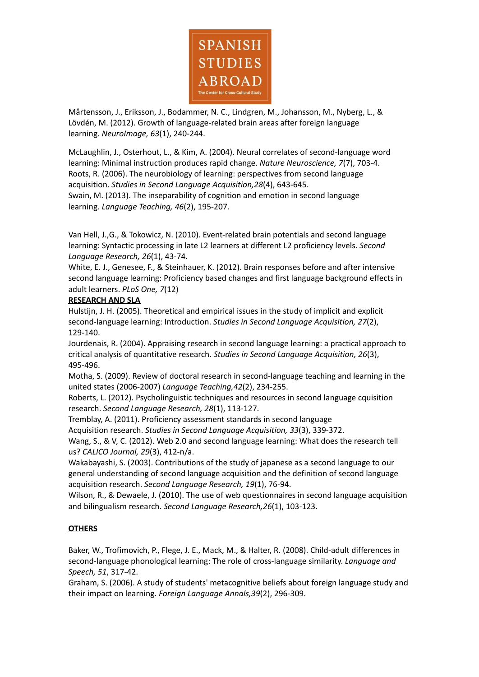

Mårtensson, J., Eriksson, J., Bodammer, N. C., Lindgren, M., Johansson, M., Nyberg, L., & Lövdén, M. (2012). Growth of language-related brain areas after foreign language learning. *NeuroImage, 63*(1), 240-244.

McLaughlin, J., Osterhout, L., & Kim, A. (2004). Neural correlates of second-language word learning: Minimal instruction produces rapid change. *Nature Neuroscience, 7*(7), 703-4. Roots, R. (2006). The neurobiology of learning: perspectives from second language acquisition. *Studies in Second Language Acquisition,28*(4), 643-645. Swain, M. (2013). The inseparability of cognition and emotion in second language learning. *Language Teaching, 46*(2), 195-207.

Van Hell, J.,G., & Tokowicz, N. (2010). Event-related brain potentials and second language learning: Syntactic processing in late L2 learners at different L2 proficiency levels. *Second Language Research, 26*(1), 43-74.

White, E. J., Genesee, F., & Steinhauer, K. (2012). Brain responses before and after intensive second language learning: Proficiency based changes and first language background effects in adult learners. *PLoS One, 7*(12)

## **RESEARCH AND SLA**

Hulstijn, J. H. (2005). Theoretical and empirical issues in the study of implicit and explicit second-language learning: Introduction. *Studies in Second Language Acquisition, 27*(2), 129-140.

Jourdenais, R. (2004). Appraising research in second language learning: a practical approach to critical analysis of quantitative research. *Studies in Second Language Acquisition, 26*(3), 495-496.

Motha, S. (2009). Review of doctoral research in second-language teaching and learning in the united states (2006-2007) *Language Teaching,42*(2), 234-255.

Roberts, L. (2012). Psycholinguistic techniques and resources in second language cquisition research. *Second Language Research, 28*(1), 113-127.

Tremblay, A. (2011). Proficiency assessment standards in second language

Acquisition research. *Studies in Second Language Acquisition, 33*(3), 339-372.

Wang, S., & V, C. (2012). Web 2.0 and second language learning: What does the research tell us? *CALICO Journal, 29*(3), 412-n/a.

Wakabayashi, S. (2003). Contributions of the study of japanese as a second language to our general understanding of second language acquisition and the definition of second language acquisition research. *Second Language Research, 19*(1), 76-94.

Wilson, R., & Dewaele, J. (2010). The use of web questionnaires in second language acquisition and bilingualism research. *Second Language Research,26*(1), 103-123.

## **OTHERS**

Baker, W., Trofimovich, P., Flege, J. E., Mack, M., & Halter, R. (2008). Child-adult differences in second-language phonological learning: The role of cross-language similarity. *Language and Speech, 51*, 317-42.

Graham, S. (2006). A study of students' metacognitive beliefs about foreign language study and their impact on learning. *Foreign Language Annals,39*(2), 296-309.